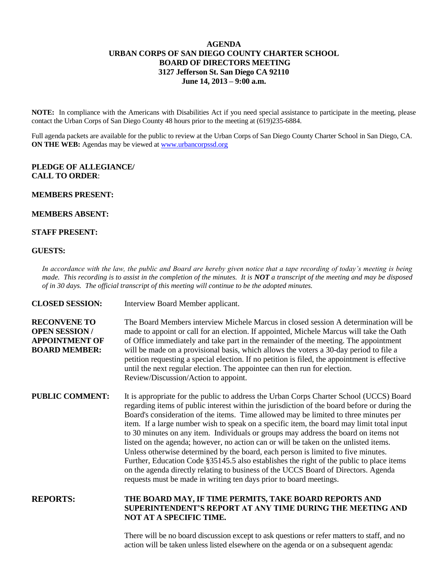## **AGENDA URBAN CORPS OF SAN DIEGO COUNTY CHARTER SCHOOL BOARD OF DIRECTORS MEETING 3127 Jefferson St. San Diego CA 92110 June 14, 2013 – 9:00 a.m.**

**NOTE:** In compliance with the Americans with Disabilities Act if you need special assistance to participate in the meeting, please contact the Urban Corps of San Diego County 48 hours prior to the meeting at (619)235-6884.

Full agenda packets are available for the public to review at the Urban Corps of San Diego County Charter School in San Diego, CA. **ON THE WEB:** Agendas may be viewed at **www.urbancorpssd.org** 

### **PLEDGE OF ALLEGIANCE/ CALL TO ORDER**:

# **MEMBERS PRESENT:**

# **MEMBERS ABSENT:**

### **STAFF PRESENT:**

#### **GUESTS:**

*In accordance with the law, the public and Board are hereby given notice that a tape recording of today's meeting is being made. This recording is to assist in the completion of the minutes. It is NOT a transcript of the meeting and may be disposed of in 30 days. The official transcript of this meeting will continue to be the adopted minutes.*

| <b>CLOSED SESSION:</b>                                                                       | Interview Board Member applicant.                                                                                                                                                                                                                                                                                                                                                                                                                                                                                                                                                                                                                                                                                                                                                                                                                                                                        |
|----------------------------------------------------------------------------------------------|----------------------------------------------------------------------------------------------------------------------------------------------------------------------------------------------------------------------------------------------------------------------------------------------------------------------------------------------------------------------------------------------------------------------------------------------------------------------------------------------------------------------------------------------------------------------------------------------------------------------------------------------------------------------------------------------------------------------------------------------------------------------------------------------------------------------------------------------------------------------------------------------------------|
| <b>RECONVENE TO</b><br><b>OPEN SESSION/</b><br><b>APPOINTMENT OF</b><br><b>BOARD MEMBER:</b> | The Board Members interview Michele Marcus in closed session A determination will be<br>made to appoint or call for an election. If appointed, Michele Marcus will take the Oath<br>of Office immediately and take part in the remainder of the meeting. The appointment<br>will be made on a provisional basis, which allows the voters a 30-day period to file a<br>petition requesting a special election. If no petition is filed, the appointment is effective<br>until the next regular election. The appointee can then run for election.<br>Review/Discussion/Action to appoint.                                                                                                                                                                                                                                                                                                                 |
| <b>PUBLIC COMMENT:</b>                                                                       | It is appropriate for the public to address the Urban Corps Charter School (UCCS) Board<br>regarding items of public interest within the jurisdiction of the board before or during the<br>Board's consideration of the items. Time allowed may be limited to three minutes per<br>item. If a large number wish to speak on a specific item, the board may limit total input<br>to 30 minutes on any item. Individuals or groups may address the board on items not<br>listed on the agenda; however, no action can or will be taken on the unlisted items.<br>Unless otherwise determined by the board, each person is limited to five minutes.<br>Further, Education Code §35145.5 also establishes the right of the public to place items<br>on the agenda directly relating to business of the UCCS Board of Directors. Agenda<br>requests must be made in writing ten days prior to board meetings. |
| <b>REPORTS:</b>                                                                              | THE BOARD MAY, IF TIME PERMITS, TAKE BOARD REPORTS AND<br><b>SUPERINTENDENT'S REPORT AT ANY TIME DURING THE MEETING AND</b><br>NOT AT A SPECIFIC TIME.                                                                                                                                                                                                                                                                                                                                                                                                                                                                                                                                                                                                                                                                                                                                                   |

There will be no board discussion except to ask questions or refer matters to staff, and no action will be taken unless listed elsewhere on the agenda or on a subsequent agenda: